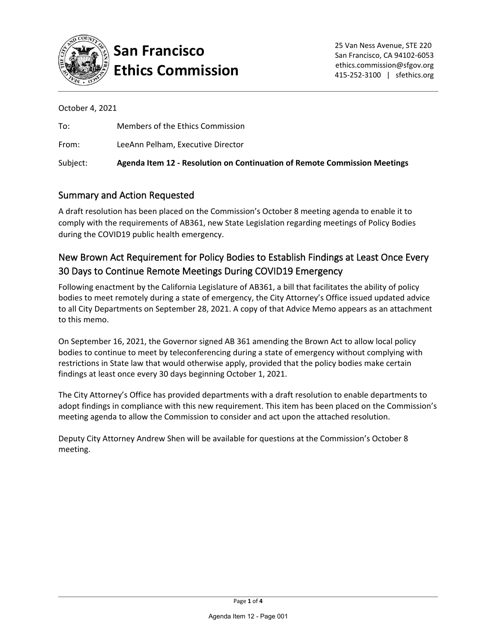

# **San Francisco Ethics Commission**

October 4, 2021

| To:      | Members of the Ethics Commission                                          |
|----------|---------------------------------------------------------------------------|
| From:    | LeeAnn Pelham, Executive Director                                         |
| Subject: | Agenda Item 12 - Resolution on Continuation of Remote Commission Meetings |

### Summary and Action Requested

A draft resolution has been placed on the Commission's October 8 meeting agenda to enable it to comply with the requirements of AB361, new State Legislation regarding meetings of Policy Bodies during the COVID19 public health emergency.

### New Brown Act Requirement for Policy Bodies to Establish Findings at Least Once Every 30 Days to Continue Remote Meetings During COVID19 Emergency

Following enactment by the California Legislature of AB361, a bill that facilitates the ability of policy bodies to meet remotely during a state of emergency, the City Attorney's Office issued updated advice to all City Departments on September 28, 2021. A copy of that Advice Memo appears as an attachment to this memo.

On September 16, 2021, the Governor signed AB 361 amending the Brown Act to allow local policy bodies to continue to meet by teleconferencing during a state of emergency without complying with restrictions in State law that would otherwise apply, provided that the policy bodies make certain findings at least once every 30 days beginning October 1, 2021.

The City Attorney's Office has provided departments with a draft resolution to enable departments to adopt findings in compliance with this new requirement. This item has been placed on the Commission's meeting agenda to allow the Commission to consider and act upon the attached resolution.

Deputy City Attorney Andrew Shen will be available for questions at the Commission's October 8 meeting.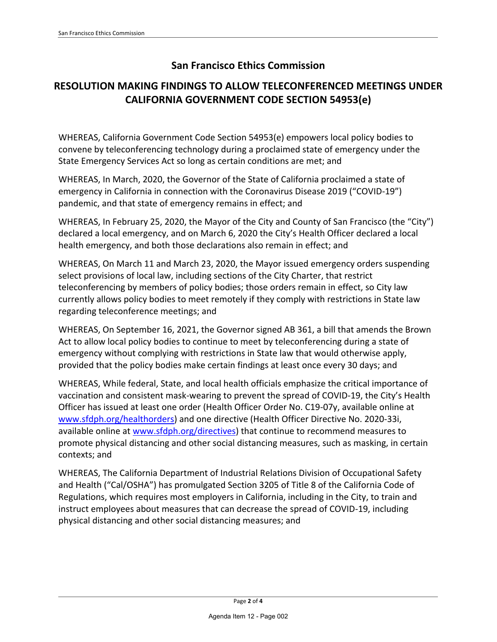### **San Francisco Ethics Commission**

### **RESOLUTION MAKING FINDINGS TO ALLOW TELECONFERENCED MEETINGS UNDER CALIFORNIA GOVERNMENT CODE SECTION 54953(e)**

WHEREAS, California Government Code Section 54953(e) empowers local policy bodies to convene by teleconferencing technology during a proclaimed state of emergency under the State Emergency Services Act so long as certain conditions are met; and

WHEREAS, In March, 2020, the Governor of the State of California proclaimed a state of emergency in California in connection with the Coronavirus Disease 2019 ("COVID-19") pandemic, and that state of emergency remains in effect; and

WHEREAS, In February 25, 2020, the Mayor of the City and County of San Francisco (the "City") declared a local emergency, and on March 6, 2020 the City's Health Officer declared a local health emergency, and both those declarations also remain in effect; and

WHEREAS, On March 11 and March 23, 2020, the Mayor issued emergency orders suspending select provisions of local law, including sections of the City Charter, that restrict teleconferencing by members of policy bodies; those orders remain in effect, so City law currently allows policy bodies to meet remotely if they comply with restrictions in State law regarding teleconference meetings; and

WHEREAS, On September 16, 2021, the Governor signed AB 361, a bill that amends the Brown Act to allow local policy bodies to continue to meet by teleconferencing during a state of emergency without complying with restrictions in State law that would otherwise apply, provided that the policy bodies make certain findings at least once every 30 days; and

WHEREAS, While federal, State, and local health officials emphasize the critical importance of vaccination and consistent mask-wearing to prevent the spread of COVID-19, the City's Health Officer has issued at least one order (Health Officer Order No. C19-07y, available online at [www.sfdph.org/healthorders\)](https://www.sfdph.org/healthorders) and one directive (Health Officer Directive No. 2020-33i, available online at [www.sfdph.org/directives\)](https://www.sfdph.org/directives) that continue to recommend measures to promote physical distancing and other social distancing measures, such as masking, in certain contexts; and

WHEREAS, The California Department of Industrial Relations Division of Occupational Safety and Health ("Cal/OSHA") has promulgated Section 3205 of Title 8 of the California Code of Regulations, which requires most employers in California, including in the City, to train and instruct employees about measures that can decrease the spread of COVID-19, including physical distancing and other social distancing measures; and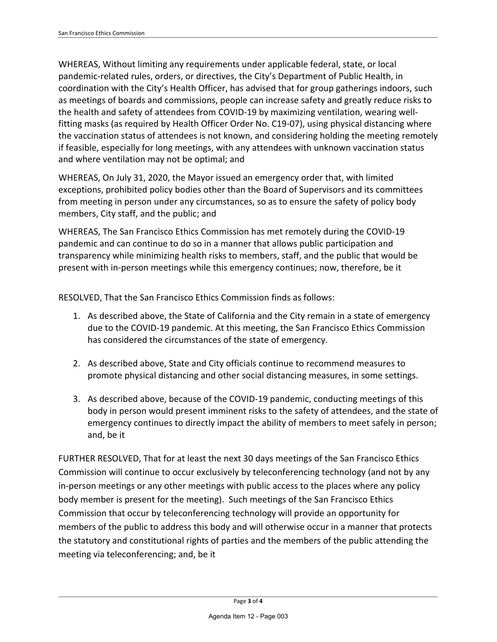WHEREAS, Without limiting any requirements under applicable federal, state, or local pandemic-related rules, orders, or directives, the City's Department of Public Health, in coordination with the City's Health Officer, has advised that for group gatherings indoors, such as meetings of boards and commissions, people can increase safety and greatly reduce risks to the health and safety of attendees from COVID-19 by maximizing ventilation, wearing wellfitting masks (as required by Health Officer Order No. C19-07), using physical distancing where the vaccination status of attendees is not known, and considering holding the meeting remotely if feasible, especially for long meetings, with any attendees with unknown vaccination status and where ventilation may not be optimal; and

WHEREAS, On July 31, 2020, the Mayor issued an emergency order that, with limited exceptions, prohibited policy bodies other than the Board of Supervisors and its committees from meeting in person under any circumstances, so as to ensure the safety of policy body members, City staff, and the public; and

WHEREAS, The San Francisco Ethics Commission has met remotely during the COVID-19 pandemic and can continue to do so in a manner that allows public participation and transparency while minimizing health risks to members, staff, and the public that would be present with in-person meetings while this emergency continues; now, therefore, be it

RESOLVED, That the San Francisco Ethics Commission finds as follows:

- 1. As described above, the State of California and the City remain in a state of emergency due to the COVID-19 pandemic. At this meeting, the San Francisco Ethics Commission has considered the circumstances of the state of emergency.
- 2. As described above, State and City officials continue to recommend measures to promote physical distancing and other social distancing measures, in some settings.
- 3. As described above, because of the COVID-19 pandemic, conducting meetings of this body in person would present imminent risks to the safety of attendees, and the state of emergency continues to directly impact the ability of members to meet safely in person; and, be it

FURTHER RESOLVED, That for at least the next 30 days meetings of the San Francisco Ethics Commission will continue to occur exclusively by teleconferencing technology (and not by any in-person meetings or any other meetings with public access to the places where any policy body member is present for the meeting). Such meetings of the San Francisco Ethics Commission that occur by teleconferencing technology will provide an opportunity for members of the public to address this body and will otherwise occur in a manner that protects the statutory and constitutional rights of parties and the members of the public attending the meeting via teleconferencing; and, be it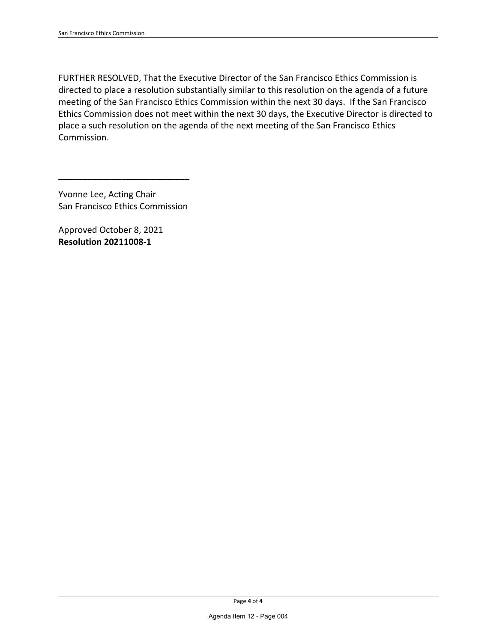FURTHER RESOLVED, That the Executive Director of the San Francisco Ethics Commission is directed to place a resolution substantially similar to this resolution on the agenda of a future meeting of the San Francisco Ethics Commission within the next 30 days. If the San Francisco Ethics Commission does not meet within the next 30 days, the Executive Director is directed to place a such resolution on the agenda of the next meeting of the San Francisco Ethics Commission.

Yvonne Lee, Acting Chair San Francisco Ethics Commission

\_\_\_\_\_\_\_\_\_\_\_\_\_\_\_\_\_\_\_\_\_\_\_\_\_\_\_

Approved October 8, 2021 **Resolution 20211008-1**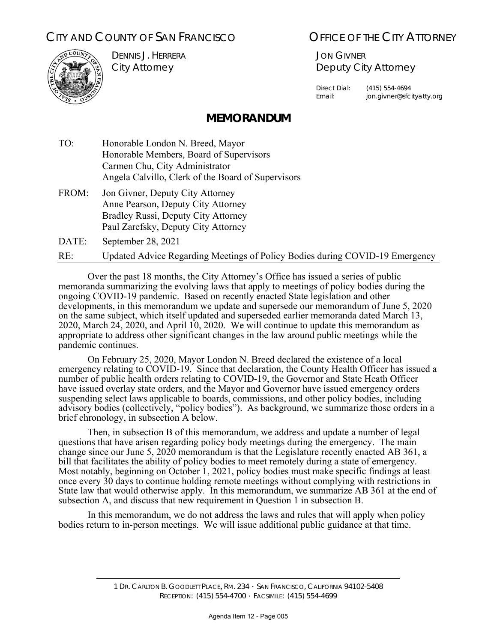## CITY AND COUNTY OF SAN FRANCISCO **COUNTY OF SAN FRANCISCO OF THE CITY ATTORNEY**



DENNIS J. HERRERA City Attorney

JON GIVNER Deputy City Attorney

Direct Dial: (415) 554-4694 Email: jon.givner@sfcityatty.org

### **MEMORANDUM**

- TO: Honorable London N. Breed, Mayor Honorable Members, Board of Supervisors Carmen Chu, City Administrator Angela Calvillo, Clerk of the Board of Supervisors
- FROM: Jon Givner, Deputy City Attorney Anne Pearson, Deputy City Attorney Bradley Russi, Deputy City Attorney Paul Zarefsky, Deputy City Attorney

DATE: September 28, 2021

RE: Updated Advice Regarding Meetings of Policy Bodies during COVID-19 Emergency

 Over the past 18 months, the City Attorney's Office has issued a series of public memoranda summarizing the evolving laws that apply to meetings of policy bodies during the ongoing COVID-19 pandemic. Based on recently enacted State legislation and other developments, in this memorandum we update and supersede our memorandum of June 5, 2020 on the same subject, which itself updated and superseded earlier memoranda dated March 13, 2020, March 24, 2020, and April 10, 2020. We will continue to update this memorandum as appropriate to address other significant changes in the law around public meetings while the pandemic continues.

 On February 25, 2020, Mayor London N. Breed declared the existence of a local emergency relating to COVID-19. Since that declaration, the County Health Officer has issued a number of public health orders relating to COVID-19, the Governor and State Heath Officer have issued overlay state orders, and the Mayor and Governor have issued emergency orders suspending select laws applicable to boards, commissions, and other policy bodies, including advisory bodies (collectively, "policy bodies"). As background, we summarize those orders in a brief chronology, in subsection A below.

 Then, in subsection B of this memorandum, we address and update a number of legal questions that have arisen regarding policy body meetings during the emergency. The main change since our June 5, 2020 memorandum is that the Legislature recently enacted AB 361, a bill that facilitates the ability of policy bodies to meet remotely during a state of emergency. Most notably, beginning on October 1, 2021, policy bodies must make specific findings at least once every 30 days to continue holding remote meetings without complying with restrictions in State law that would otherwise apply. In this memorandum, we summarize AB 361 at the end of subsection A, and discuss that new requirement in Question 1 in subsection B.

 In this memorandum, we do not address the laws and rules that will apply when policy bodies return to in-person meetings. We will issue additional public guidance at that time.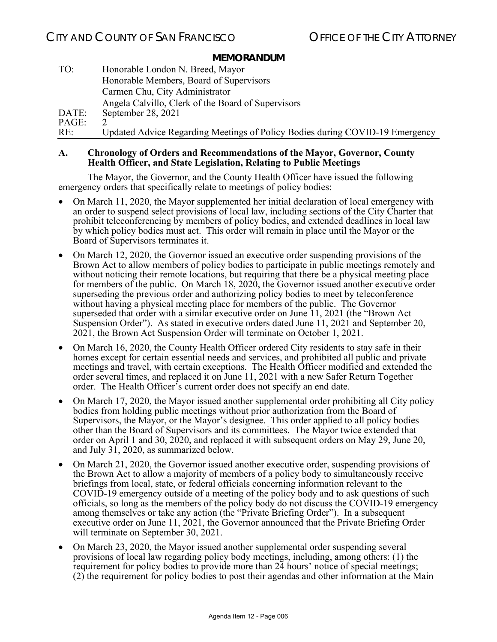| TO:   | Honorable London N. Breed, Mayor                                             |
|-------|------------------------------------------------------------------------------|
|       | Honorable Members, Board of Supervisors                                      |
|       | Carmen Chu, City Administrator                                               |
|       | Angela Calvillo, Clerk of the Board of Supervisors                           |
| DATE: | September 28, 2021                                                           |
| PAGE: |                                                                              |
| RE:   | Updated Advice Regarding Meetings of Policy Bodies during COVID-19 Emergency |

#### **A. Chronology of Orders and Recommendations of the Mayor, Governor, County Health Officer, and State Legislation, Relating to Public Meetings**

The Mayor, the Governor, and the County Health Officer have issued the following emergency orders that specifically relate to meetings of policy bodies:

- On March 11, 2020, the Mayor supplemented her initial declaration of local emergency with an order to suspend select provisions of local law, including sections of the City Charter that prohibit teleconferencing by members of policy bodies, and extended deadlines in local law by which policy bodies must act. This order will remain in place until the Mayor or the Board of Supervisors terminates it.
- On March 12, 2020, the Governor issued an executive order suspending provisions of the Brown Act to allow members of policy bodies to participate in public meetings remotely and without noticing their remote locations, but requiring that there be a physical meeting place for members of the public. On March 18, 2020, the Governor issued another executive order superseding the previous order and authorizing policy bodies to meet by teleconference without having a physical meeting place for members of the public. The Governor superseded that order with a similar executive order on June 11, 2021 (the "Brown Act Suspension Order"). As stated in executive orders dated June 11, 2021 and September 20, 2021, the Brown Act Suspension Order will terminate on October 1, 2021.
- On March 16, 2020, the County Health Officer ordered City residents to stay safe in their homes except for certain essential needs and services, and prohibited all public and private meetings and travel, with certain exceptions. The Health Officer modified and extended the order several times, and replaced it on June 11, 2021 with a new Safer Return Together order. The Health Officer's current order does not specify an end date.
- On March 17, 2020, the Mayor issued another supplemental order prohibiting all City policy bodies from holding public meetings without prior authorization from the Board of Supervisors, the Mayor, or the Mayor's designee. This order applied to all policy bodies other than the Board of Supervisors and its committees. The Mayor twice extended that order on April 1 and 30, 2020, and replaced it with subsequent orders on May 29, June 20, and July  $3\overline{1}$ , 2020, as summarized below.
- On March 21, 2020, the Governor issued another executive order, suspending provisions of the Brown Act to allow a majority of members of a policy body to simultaneously receive briefings from local, state, or federal officials concerning information relevant to the COVID-19 emergency outside of a meeting of the policy body and to ask questions of such officials, so long as the members of the policy body do not discuss the COVID-19 emergency among themselves or take any action (the "Private Briefing Order"). In a subsequent executive order on June 11, 2021, the Governor announced that the Private Briefing Order will terminate on September 30, 2021.
- On March 23, 2020, the Mayor issued another supplemental order suspending several provisions of local law regarding policy body meetings, including, among others: (1) the requirement for policy bodies to provide more than 24 hours' notice of special meetings; (2) the requirement for policy bodies to post their agendas and other information at the Main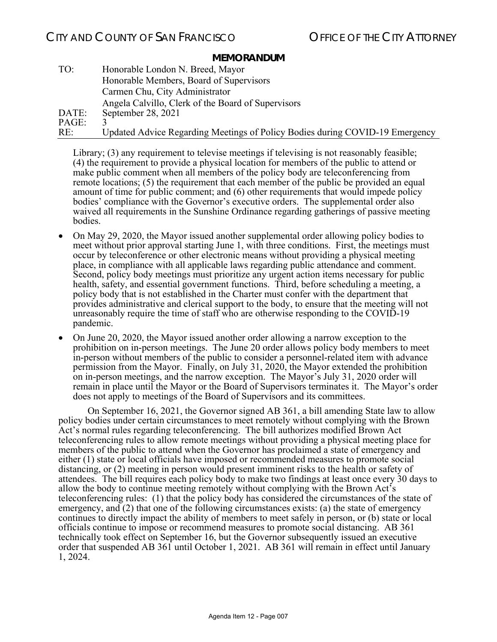| TO:   | Honorable London N. Breed, Mayor                                             |
|-------|------------------------------------------------------------------------------|
|       | Honorable Members, Board of Supervisors                                      |
|       | Carmen Chu, City Administrator                                               |
|       | Angela Calvillo, Clerk of the Board of Supervisors                           |
| DATE: | September 28, 2021                                                           |
| PAGE: |                                                                              |
| RE:   | Updated Advice Regarding Meetings of Policy Bodies during COVID-19 Emergency |

Library; (3) any requirement to televise meetings if televising is not reasonably feasible; (4) the requirement to provide a physical location for members of the public to attend or make public comment when all members of the policy body are teleconferencing from remote locations; (5) the requirement that each member of the public be provided an equal amount of time for public comment; and (6) other requirements that would impede policy bodies' compliance with the Governor's executive orders. The supplemental order also waived all requirements in the Sunshine Ordinance regarding gatherings of passive meeting bodies.

- On May 29, 2020, the Mayor issued another supplemental order allowing policy bodies to meet without prior approval starting June 1, with three conditions. First, the meetings must occur by teleconference or other electronic means without providing a physical meeting place, in compliance with all applicable laws regarding public attendance and comment. Second, policy body meetings must prioritize any urgent action items necessary for public health, safety, and essential government functions. Third, before scheduling a meeting, a policy body that is not established in the Charter must confer with the department that provides administrative and clerical support to the body, to ensure that the meeting will not unreasonably require the time of staff who are otherwise responding to the COVID-19 pandemic.
- On June 20, 2020, the Mayor issued another order allowing a narrow exception to the prohibition on in-person meetings. The June 20 order allows policy body members to meet in-person without members of the public to consider a personnel-related item with advance permission from the Mayor. Finally, on July 31, 2020, the Mayor extended the prohibition on in-person meetings, and the narrow exception. The Mayor's July 31, 2020 order will remain in place until the Mayor or the Board of Supervisors terminates it. The Mayor's order does not apply to meetings of the Board of Supervisors and its committees.

 On September 16, 2021, the Governor signed AB 361, a bill amending State law to allow policy bodies under certain circumstances to meet remotely without complying with the Brown Act's normal rules regarding teleconferencing. The bill authorizes modified Brown Act teleconferencing rules to allow remote meetings without providing a physical meeting place for members of the public to attend when the Governor has proclaimed a state of emergency and either (1) state or local officials have imposed or recommended measures to promote social distancing, or (2) meeting in person would present imminent risks to the health or safety of attendees. The bill requires each policy body to make two findings at least once every 30 days to allow the body to continue meeting remotely without complying with the Brown Act's teleconferencing rules: (1) that the policy body has considered the circumstances of the state of emergency, and (2) that one of the following circumstances exists: (a) the state of emergency continues to directly impact the ability of members to meet safely in person, or (b) state or local officials continue to impose or recommend measures to promote social distancing. AB 361 technically took effect on September 16, but the Governor subsequently issued an executive order that suspended AB 361 until October 1, 2021. AB 361 will remain in effect until January 1, 2024.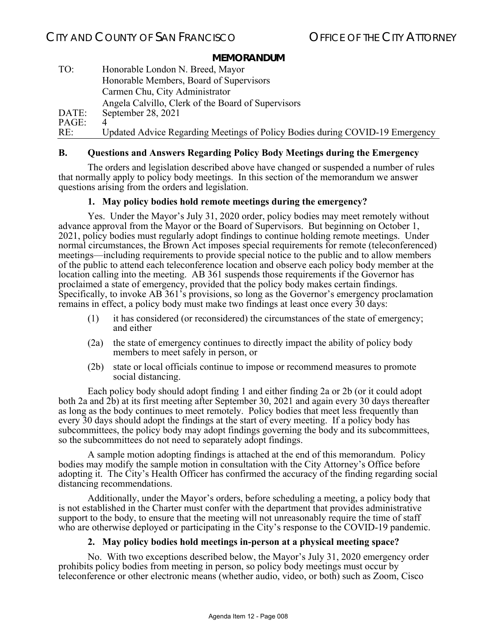| TO:   | Honorable London N. Breed, Mayor                                             |
|-------|------------------------------------------------------------------------------|
|       | Honorable Members, Board of Supervisors                                      |
|       | Carmen Chu, City Administrator                                               |
|       | Angela Calvillo, Clerk of the Board of Supervisors                           |
| DATE: | September 28, 2021                                                           |
| PAGE: |                                                                              |
| RE:   | Updated Advice Regarding Meetings of Policy Bodies during COVID-19 Emergency |

#### **B. Questions and Answers Regarding Policy Body Meetings during the Emergency**

 The orders and legislation described above have changed or suspended a number of rules that normally apply to policy body meetings. In this section of the memorandum we answer questions arising from the orders and legislation.

#### **1. May policy bodies hold remote meetings during the emergency?**

 Yes. Under the Mayor's July 31, 2020 order, policy bodies may meet remotely without advance approval from the Mayor or the Board of Supervisors. But beginning on October 1, 2021, policy bodies must regularly adopt findings to continue holding remote meetings. Under normal circumstances, the Brown Act imposes special requirements for remote (teleconferenced) meetings—including requirements to provide special notice to the public and to allow members of the public to attend each teleconference location and observe each policy body member at the location calling into the meeting. AB 361 suspends those requirements if the Governor has proclaimed a state of emergency, provided that the policy body makes certain findings. Specifically, to invoke AB 361's provisions, so long as the Governor's emergency proclamation remains in effect, a policy body must make two findings at least once every 30 days:

- (1) it has considered (or reconsidered) the circumstances of the state of emergency; and either
- (2a) the state of emergency continues to directly impact the ability of policy body members to meet safely in person, or
- (2b) state or local officials continue to impose or recommend measures to promote social distancing.

 Each policy body should adopt finding 1 and either finding 2a or 2b (or it could adopt both 2a and 2b) at its first meeting after September 30, 2021 and again every 30 days thereafter as long as the body continues to meet remotely. Policy bodies that meet less frequently than every 30 days should adopt the findings at the start of every meeting. If a policy body has subcommittees, the policy body may adopt findings governing the body and its subcommittees, so the subcommittees do not need to separately adopt findings.

 A sample motion adopting findings is attached at the end of this memorandum. Policy bodies may modify the sample motion in consultation with the City Attorney's Office before adopting it. The City's Health Officer has confirmed the accuracy of the finding regarding social distancing recommendations.

 Additionally, under the Mayor's orders, before scheduling a meeting, a policy body that is not established in the Charter must confer with the department that provides administrative support to the body, to ensure that the meeting will not unreasonably require the time of staff who are otherwise deployed or participating in the City's response to the COVID-19 pandemic.

### **2. May policy bodies hold meetings in-person at a physical meeting space?**

No. With two exceptions described below, the Mayor's July 31, 2020 emergency order prohibits policy bodies from meeting in person, so policy body meetings must occur by teleconference or other electronic means (whether audio, video, or both) such as Zoom, Cisco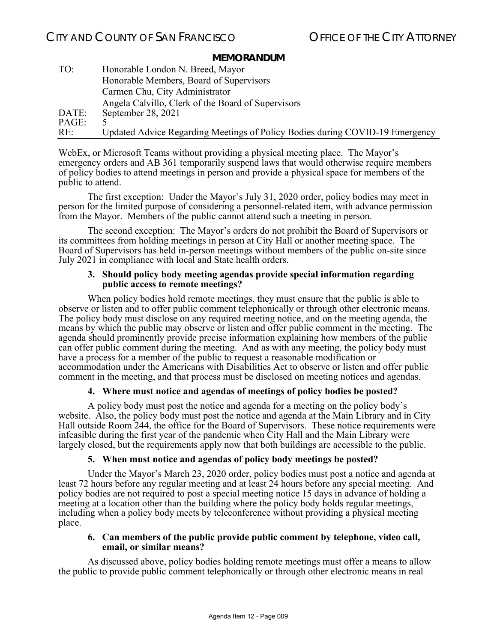| TO:   | Honorable London N. Breed, Mayor                                             |
|-------|------------------------------------------------------------------------------|
|       | Honorable Members, Board of Supervisors                                      |
|       | Carmen Chu, City Administrator                                               |
|       | Angela Calvillo, Clerk of the Board of Supervisors                           |
| DATE: | September 28, 2021                                                           |
| PAGE: |                                                                              |
| RE:   | Updated Advice Regarding Meetings of Policy Bodies during COVID-19 Emergency |

WebEx, or Microsoft Teams without providing a physical meeting place. The Mayor's emergency orders and AB 361 temporarily suspend laws that would otherwise require members of policy bodies to attend meetings in person and provide a physical space for members of the public to attend.

 The first exception: Under the Mayor's July 31, 2020 order, policy bodies may meet in person for the limited purpose of considering a personnel-related item, with advance permission from the Mayor. Members of the public cannot attend such a meeting in person.

 The second exception: The Mayor's orders do not prohibit the Board of Supervisors or its committees from holding meetings in person at City Hall or another meeting space. The Board of Supervisors has held in-person meetings without members of the public on-site since July 2021 in compliance with local and State health orders.

#### **3. Should policy body meeting agendas provide special information regarding public access to remote meetings?**

When policy bodies hold remote meetings, they must ensure that the public is able to observe or listen and to offer public comment telephonically or through other electronic means. The policy body must disclose on any required meeting notice, and on the meeting agenda, the means by which the public may observe or listen and offer public comment in the meeting. The agenda should prominently provide precise information explaining how members of the public can offer public comment during the meeting. And as with any meeting, the policy body must have a process for a member of the public to request a reasonable modification or accommodation under the Americans with Disabilities Act to observe or listen and offer public comment in the meeting, and that process must be disclosed on meeting notices and agendas.

### **4. Where must notice and agendas of meetings of policy bodies be posted?**

 A policy body must post the notice and agenda for a meeting on the policy body's website. Also, the policy body must post the notice and agenda at the Main Library and in City Hall outside Room 244, the office for the Board of Supervisors. These notice requirements were infeasible during the first year of the pandemic when City Hall and the Main Library were largely closed, but the requirements apply now that both buildings are accessible to the public.

#### **5. When must notice and agendas of policy body meetings be posted?**

Under the Mayor's March 23, 2020 order, policy bodies must post a notice and agenda at least 72 hours before any regular meeting and at least 24 hours before any special meeting. And policy bodies are not required to post a special meeting notice 15 days in advance of holding a meeting at a location other than the building where the policy body holds regular meetings, including when a policy body meets by teleconference without providing a physical meeting place.

#### **6. Can members of the public provide public comment by telephone, video call, email, or similar means?**

 As discussed above, policy bodies holding remote meetings must offer a means to allow the public to provide public comment telephonically or through other electronic means in real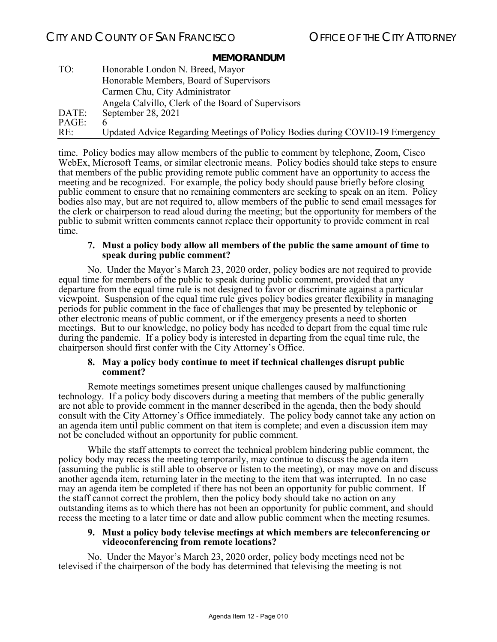| TO:   | Honorable London N. Breed, Mayor                                             |
|-------|------------------------------------------------------------------------------|
|       | Honorable Members, Board of Supervisors                                      |
|       | Carmen Chu, City Administrator                                               |
|       | Angela Calvillo, Clerk of the Board of Supervisors                           |
| DATE: | September 28, 2021                                                           |
| PAGE: |                                                                              |
| RE:   | Updated Advice Regarding Meetings of Policy Bodies during COVID-19 Emergency |

time. Policy bodies may allow members of the public to comment by telephone, Zoom, Cisco WebEx, Microsoft Teams, or similar electronic means. Policy bodies should take steps to ensure that members of the public providing remote public comment have an opportunity to access the meeting and be recognized. For example, the policy body should pause briefly before closing public comment to ensure that no remaining commenters are seeking to speak on an item. Policy bodies also may, but are not required to, allow members of the public to send email messages for the clerk or chairperson to read aloud during the meeting; but the opportunity for members of the public to submit written comments cannot replace their opportunity to provide comment in real time.

#### **7. Must a policy body allow all members of the public the same amount of time to speak during public comment?**

No. Under the Mayor's March 23, 2020 order, policy bodies are not required to provide equal time for members of the public to speak during public comment, provided that any departure from the equal time rule is not designed to favor or discriminate against a particular viewpoint. Suspension of the equal time rule gives policy bodies greater flexibility in managing periods for public comment in the face of challenges that may be presented by telephonic or other electronic means of public comment, or if the emergency presents a need to shorten meetings. But to our knowledge, no policy body has needed to depart from the equal time rule during the pandemic. If a policy body is interested in departing from the equal time rule, the chairperson should first confer with the City Attorney's Office.

#### **8. May a policy body continue to meet if technical challenges disrupt public comment?**

 Remote meetings sometimes present unique challenges caused by malfunctioning technology. If a policy body discovers during a meeting that members of the public generally are not able to provide comment in the manner described in the agenda, then the body should consult with the City Attorney's Office immediately. The policy body cannot take any action on an agenda item until public comment on that item is complete; and even a discussion item may not be concluded without an opportunity for public comment.

 While the staff attempts to correct the technical problem hindering public comment, the policy body may recess the meeting temporarily, may continue to discuss the agenda item (assuming the public is still able to observe or listen to the meeting), or may move on and discuss another agenda item, returning later in the meeting to the item that was interrupted. In no case may an agenda item be completed if there has not been an opportunity for public comment. If the staff cannot correct the problem, then the policy body should take no action on any outstanding items as to which there has not been an opportunity for public comment, and should recess the meeting to a later time or date and allow public comment when the meeting resumes.

#### **9. Must a policy body televise meetings at which members are teleconferencing or videoconferencing from remote locations?**

 No. Under the Mayor's March 23, 2020 order, policy body meetings need not be televised if the chairperson of the body has determined that televising the meeting is not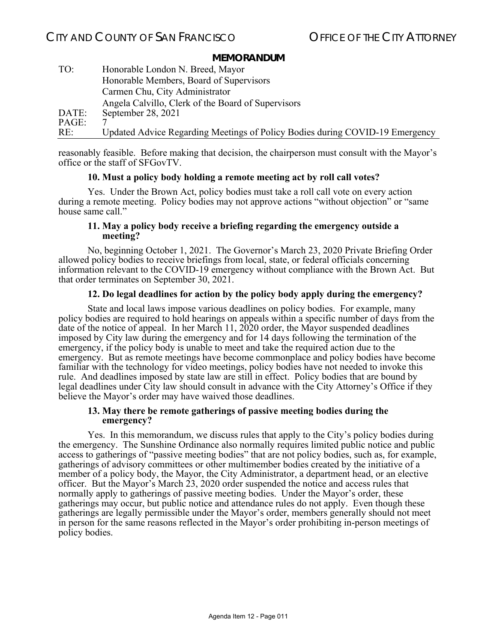| TO:   | Honorable London N. Breed, Mayor                                             |
|-------|------------------------------------------------------------------------------|
|       | Honorable Members, Board of Supervisors                                      |
|       | Carmen Chu, City Administrator                                               |
|       | Angela Calvillo, Clerk of the Board of Supervisors                           |
| DATE: | September 28, 2021                                                           |
| PAGE: |                                                                              |
| RE:   | Updated Advice Regarding Meetings of Policy Bodies during COVID-19 Emergency |

reasonably feasible. Before making that decision, the chairperson must consult with the Mayor's office or the staff of SFGovTV.

#### **10. Must a policy body holding a remote meeting act by roll call votes?**

 Yes. Under the Brown Act, policy bodies must take a roll call vote on every action during a remote meeting. Policy bodies may not approve actions "without objection" or "same house same call."

#### **11. May a policy body receive a briefing regarding the emergency outside a meeting?**

 No, beginning October 1, 2021. The Governor's March 23, 2020 Private Briefing Order allowed policy bodies to receive briefings from local, state, or federal officials concerning information relevant to the COVID-19 emergency without compliance with the Brown Act. But that order terminates on September 30, 2021.

#### **12. Do legal deadlines for action by the policy body apply during the emergency?**

 State and local laws impose various deadlines on policy bodies. For example, many policy bodies are required to hold hearings on appeals within a specific number of days from the date of the notice of appeal. In her March 11, 2020 order, the Mayor suspended deadlines imposed by City law during the emergency and for 14 days following the termination of the emergency, if the policy body is unable to meet and take the required action due to the emergency. But as remote meetings have become commonplace and policy bodies have become familiar with the technology for video meetings, policy bodies have not needed to invoke this rule. And deadlines imposed by state law are still in effect. Policy bodies that are bound by legal deadlines under City law should consult in advance with the City Attorney's Office if they believe the Mayor's order may have waived those deadlines.

#### **13. May there be remote gatherings of passive meeting bodies during the emergency?**

 Yes. In this memorandum, we discuss rules that apply to the City's policy bodies during the emergency. The Sunshine Ordinance also normally requires limited public notice and public access to gatherings of "passive meeting bodies" that are not policy bodies, such as, for example, gatherings of advisory committees or other multimember bodies created by the initiative of a member of a policy body, the Mayor, the City Administrator, a department head, or an elective officer. But the Mayor's March 23, 2020 order suspended the notice and access rules that normally apply to gatherings of passive meeting bodies. Under the Mayor's order, these gatherings may occur, but public notice and attendance rules do not apply. Even though these gatherings are legally permissible under the Mayor's order, members generally should not meet in person for the same reasons reflected in the Mayor's order prohibiting in-person meetings of policy bodies.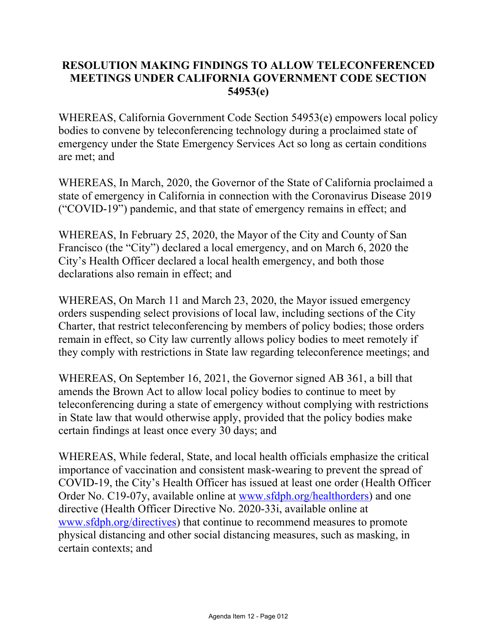### **RESOLUTION MAKING FINDINGS TO ALLOW TELECONFERENCED MEETINGS UNDER CALIFORNIA GOVERNMENT CODE SECTION 54953(e)**

WHEREAS, California Government Code Section 54953(e) empowers local policy bodies to convene by teleconferencing technology during a proclaimed state of emergency under the State Emergency Services Act so long as certain conditions are met; and

WHEREAS, In March, 2020, the Governor of the State of California proclaimed a state of emergency in California in connection with the Coronavirus Disease 2019 ("COVID-19") pandemic, and that state of emergency remains in effect; and

WHEREAS, In February 25, 2020, the Mayor of the City and County of San Francisco (the "City") declared a local emergency, and on March 6, 2020 the City's Health Officer declared a local health emergency, and both those declarations also remain in effect; and

WHEREAS, On March 11 and March 23, 2020, the Mayor issued emergency orders suspending select provisions of local law, including sections of the City Charter, that restrict teleconferencing by members of policy bodies; those orders remain in effect, so City law currently allows policy bodies to meet remotely if they comply with restrictions in State law regarding teleconference meetings; and

WHEREAS, On September 16, 2021, the Governor signed AB 361, a bill that amends the Brown Act to allow local policy bodies to continue to meet by teleconferencing during a state of emergency without complying with restrictions in State law that would otherwise apply, provided that the policy bodies make certain findings at least once every 30 days; and

WHEREAS, While federal, State, and local health officials emphasize the critical importance of vaccination and consistent mask-wearing to prevent the spread of COVID-19, the City's Health Officer has issued at least one order (Health Officer Order No. C19-07y, available online at www.sfdph.org/healthorders) and one directive (Health Officer Directive No. 2020-33i, available online at www.sfdph.org/directives) that continue to recommend measures to promote physical distancing and other social distancing measures, such as masking, in certain contexts; and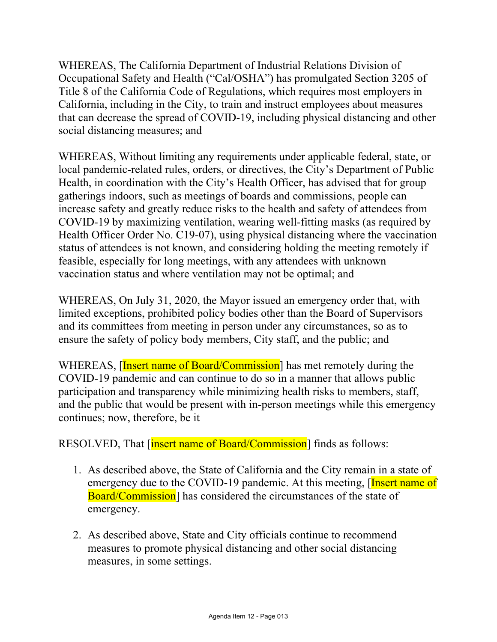WHEREAS, The California Department of Industrial Relations Division of Occupational Safety and Health ("Cal/OSHA") has promulgated Section 3205 of Title 8 of the California Code of Regulations, which requires most employers in California, including in the City, to train and instruct employees about measures that can decrease the spread of COVID-19, including physical distancing and other social distancing measures; and

WHEREAS, Without limiting any requirements under applicable federal, state, or local pandemic-related rules, orders, or directives, the City's Department of Public Health, in coordination with the City's Health Officer, has advised that for group gatherings indoors, such as meetings of boards and commissions, people can increase safety and greatly reduce risks to the health and safety of attendees from COVID-19 by maximizing ventilation, wearing well-fitting masks (as required by Health Officer Order No. C19-07), using physical distancing where the vaccination status of attendees is not known, and considering holding the meeting remotely if feasible, especially for long meetings, with any attendees with unknown vaccination status and where ventilation may not be optimal; and

WHEREAS, On July 31, 2020, the Mayor issued an emergency order that, with limited exceptions, prohibited policy bodies other than the Board of Supervisors and its committees from meeting in person under any circumstances, so as to ensure the safety of policy body members, City staff, and the public; and

WHEREAS, **Insert name of Board/Commission** has met remotely during the COVID-19 pandemic and can continue to do so in a manner that allows public participation and transparency while minimizing health risks to members, staff, and the public that would be present with in-person meetings while this emergency continues; now, therefore, be it

RESOLVED, That *[insert name of Board/Commission*] finds as follows:

- 1. As described above, the State of California and the City remain in a state of emergency due to the COVID-19 pandemic. At this meeting, [Insert name of Board/Commission] has considered the circumstances of the state of emergency.
- 2. As described above, State and City officials continue to recommend measures to promote physical distancing and other social distancing measures, in some settings.